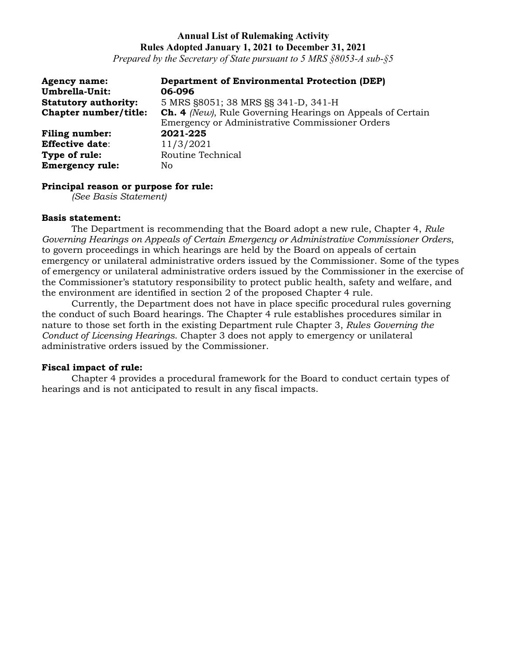*Prepared by the Secretary of State pursuant to 5 MRS §8053-A sub-§5*

| <b>Agency name:</b><br>Umbrella-Unit: | <b>Department of Environmental Protection (DEP)</b><br>06-096                                                        |
|---------------------------------------|----------------------------------------------------------------------------------------------------------------------|
| <b>Statutory authority:</b>           | 5 MRS §8051; 38 MRS §§ 341-D, 341-H                                                                                  |
| Chapter number/title:                 | <b>Ch. 4</b> (New), Rule Governing Hearings on Appeals of Certain<br>Emergency or Administrative Commissioner Orders |
| <b>Filing number:</b>                 | 2021-225                                                                                                             |
| <b>Effective date:</b>                | 11/3/2021                                                                                                            |
| Type of rule:                         | Routine Technical                                                                                                    |
| <b>Emergency rule:</b>                | No.                                                                                                                  |

#### **Principal reason or purpose for rule:**

*(See Basis Statement)*

#### **Basis statement:**

The Department is recommending that the Board adopt a new rule, Chapter 4, *Rule Governing Hearings on Appeals of Certain Emergency or Administrative Commissioner Orders*, to govern proceedings in which hearings are held by the Board on appeals of certain emergency or unilateral administrative orders issued by the Commissioner. Some of the types of emergency or unilateral administrative orders issued by the Commissioner in the exercise of the Commissioner's statutory responsibility to protect public health, safety and welfare, and the environment are identified in section 2 of the proposed Chapter 4 rule.

Currently, the Department does not have in place specific procedural rules governing the conduct of such Board hearings. The Chapter 4 rule establishes procedures similar in nature to those set forth in the existing Department rule Chapter 3, *Rules Governing the Conduct of Licensing Hearings*. Chapter 3 does not apply to emergency or unilateral administrative orders issued by the Commissioner.

## **Fiscal impact of rule:**

Chapter 4 provides a procedural framework for the Board to conduct certain types of hearings and is not anticipated to result in any fiscal impacts.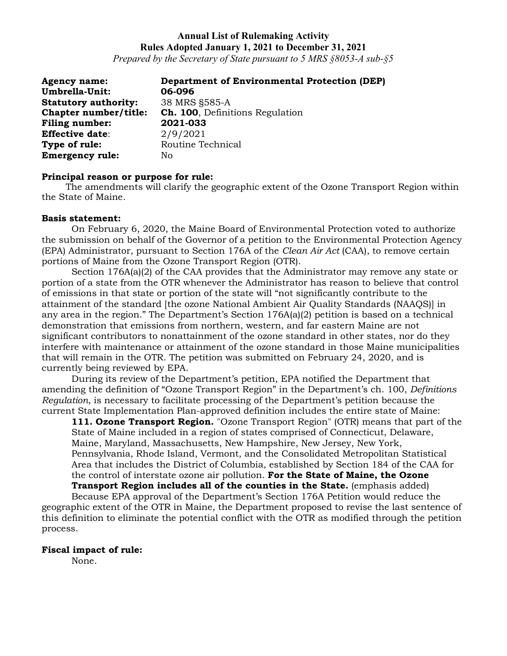*Prepared by the Secretary of State pursuant to 5 MRS §8053-A sub-§5*

| <b>Agency name:</b>         | <b>Department of Environmental Protection (DEP)</b> |
|-----------------------------|-----------------------------------------------------|
| Umbrella-Unit:              | 06-096                                              |
| <b>Statutory authority:</b> | 38 MRS §585-A                                       |
| Chapter number/title:       | <b>Ch. 100</b> , Definitions Regulation             |
| <b>Filing number:</b>       | 2021-033                                            |
| <b>Effective date:</b>      | 2/9/2021                                            |
| Type of rule:               | Routine Technical                                   |
| <b>Emergency rule:</b>      | No                                                  |

#### **Principal reason or purpose for rule:**

The amendments will clarify the geographic extent of the Ozone Transport Region within the State of Maine.

#### **Basis statement:**

On February 6, 2020, the Maine Board of Environmental Protection voted to authorize the submission on behalf of the Governor of a petition to the Environmental Protection Agency (EPA) Administrator, pursuant to Section 176A of the *Clean Air Act* (CAA), to remove certain portions of Maine from the Ozone Transport Region (OTR).

Section 176A(a)(2) of the CAA provides that the Administrator may remove any state or portion of a state from the OTR whenever the Administrator has reason to believe that control of emissions in that state or portion of the state will "not significantly contribute to the attainment of the standard [the ozone National Ambient Air Quality Standards (NAAQS)] in any area in the region." The Department's Section 176A(a)(2) petition is based on a technical demonstration that emissions from northern, western, and far eastern Maine are not significant contributors to nonattainment of the ozone standard in other states, nor do they interfere with maintenance or attainment of the ozone standard in those Maine municipalities that will remain in the OTR. The petition was submitted on February 24, 2020, and is currently being reviewed by EPA.

During its review of the Department's petition, EPA notified the Department that amending the definition of "Ozone Transport Region" in the Department's ch. 100, *Definitions Regulation*, is necessary to facilitate processing of the Department's petition because the current State Implementation Plan-approved definition includes the entire state of Maine:

**111. Ozone Transport Region.** "Ozone Transport Region" (OTR) means that part of the State of Maine included in a region of states comprised of Connecticut, Delaware, Maine, Maryland, Massachusetts, New Hampshire, New Jersey, New York, Pennsylvania, Rhode Island, Vermont, and the Consolidated Metropolitan Statistical Area that includes the District of Columbia, established by Section 184 of the CAA for the control of interstate ozone air pollution. **For the State of Maine, the Ozone Transport Region includes all of the counties in the State.** (emphasis added)

Because EPA approval of the Department's Section 176A Petition would reduce the geographic extent of the OTR in Maine, the Department proposed to revise the last sentence of this definition to eliminate the potential conflict with the OTR as modified through the petition process.

## **Fiscal impact of rule:**

None.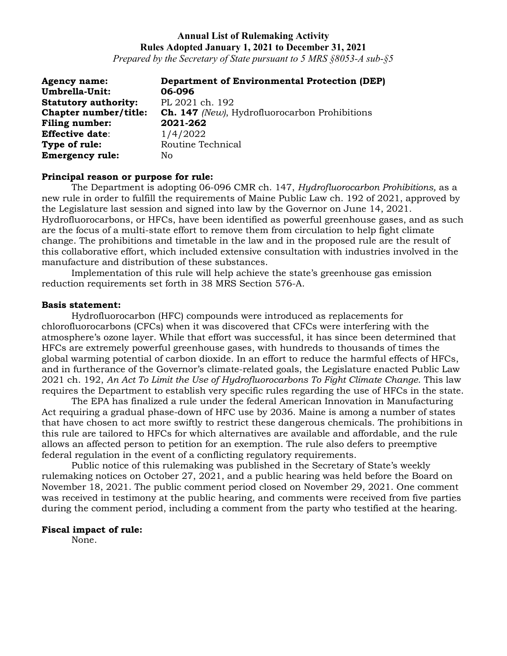*Prepared by the Secretary of State pursuant to 5 MRS §8053-A sub-§5*

| <b>Agency name:</b>         | <b>Department of Environmental Protection (DEP)</b>  |
|-----------------------------|------------------------------------------------------|
| Umbrella-Unit:              | 06-096                                               |
| <b>Statutory authority:</b> | PL 2021 ch. 192                                      |
| Chapter number/title:       | <b>Ch. 147</b> (New), Hydrofluorocarbon Prohibitions |
| <b>Filing number:</b>       | 2021-262                                             |
| <b>Effective date:</b>      | 1/4/2022                                             |
| Type of rule:               | Routine Technical                                    |
| <b>Emergency rule:</b>      | No.                                                  |

#### **Principal reason or purpose for rule:**

The Department is adopting 06-096 CMR ch. 147, *Hydrofluorocarbon Prohibitions,* as a new rule in order to fulfill the requirements of Maine Public Law ch. 192 of 2021, approved by the Legislature last session and signed into law by the Governor on June 14, 2021. Hydrofluorocarbons, or HFCs, have been identified as powerful greenhouse gases, and as such are the focus of a multi-state effort to remove them from circulation to help fight climate change. The prohibitions and timetable in the law and in the proposed rule are the result of this collaborative effort, which included extensive consultation with industries involved in the manufacture and distribution of these substances.

Implementation of this rule will help achieve the state's greenhouse gas emission reduction requirements set forth in 38 MRS Section 576-A.

#### **Basis statement:**

Hydrofluorocarbon (HFC) compounds were introduced as replacements for chlorofluorocarbons (CFCs) when it was discovered that CFCs were interfering with the atmosphere's ozone layer. While that effort was successful, it has since been determined that HFCs are extremely powerful greenhouse gases, with hundreds to thousands of times the global warming potential of carbon dioxide. In an effort to reduce the harmful effects of HFCs, and in furtherance of the Governor's climate-related goals, the Legislature enacted Public Law 2021 ch. 192, *An Act To Limit the Use of Hydrofluorocarbons To Fight Climate Change*. This law requires the Department to establish very specific rules regarding the use of HFCs in the state.

The EPA has finalized a rule under the federal American Innovation in Manufacturing Act requiring a gradual phase-down of HFC use by 2036. Maine is among a number of states that have chosen to act more swiftly to restrict these dangerous chemicals. The prohibitions in this rule are tailored to HFCs for which alternatives are available and affordable, and the rule allows an affected person to petition for an exemption. The rule also defers to preemptive federal regulation in the event of a conflicting regulatory requirements.

Public notice of this rulemaking was published in the Secretary of State's weekly rulemaking notices on October 27, 2021, and a public hearing was held before the Board on November 18, 2021. The public comment period closed on November 29, 2021. One comment was received in testimony at the public hearing, and comments were received from five parties during the comment period, including a comment from the party who testified at the hearing.

## **Fiscal impact of rule:**

None.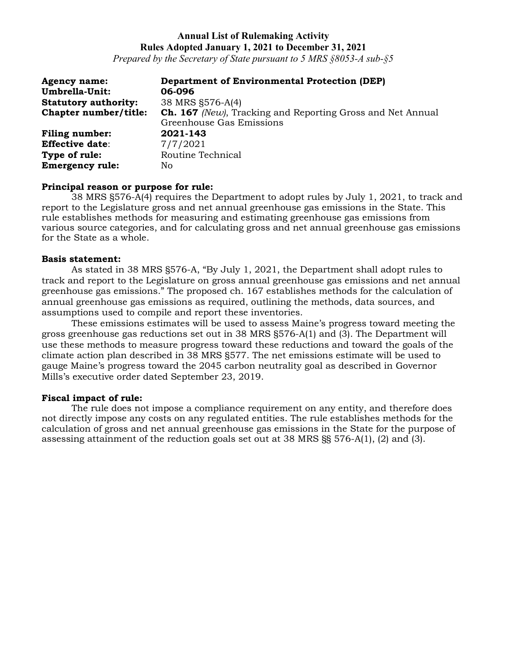*Prepared by the Secretary of State pursuant to 5 MRS §8053-A sub-§5*

| <b>Agency name:</b>         | <b>Department of Environmental Protection (DEP)</b>               |
|-----------------------------|-------------------------------------------------------------------|
| Umbrella-Unit:              | 06-096                                                            |
| <b>Statutory authority:</b> | 38 MRS §576-A(4)                                                  |
| Chapter number/title:       | <b>Ch. 167</b> (New), Tracking and Reporting Gross and Net Annual |
|                             | Greenhouse Gas Emissions                                          |
| <b>Filing number:</b>       | 2021-143                                                          |
| <b>Effective date:</b>      | 7/7/2021                                                          |
| Type of rule:               | Routine Technical                                                 |
| <b>Emergency rule:</b>      | No.                                                               |

## **Principal reason or purpose for rule:**

38 MRS §576-A(4) requires the Department to adopt rules by July 1, 2021, to track and report to the Legislature gross and net annual greenhouse gas emissions in the State. This rule establishes methods for measuring and estimating greenhouse gas emissions from various source categories, and for calculating gross and net annual greenhouse gas emissions for the State as a whole.

#### **Basis statement:**

As stated in 38 MRS §576-A, "By July 1, 2021, the Department shall adopt rules to track and report to the Legislature on gross annual greenhouse gas emissions and net annual greenhouse gas emissions." The proposed ch. 167 establishes methods for the calculation of annual greenhouse gas emissions as required, outlining the methods, data sources, and assumptions used to compile and report these inventories.

These emissions estimates will be used to assess Maine's progress toward meeting the gross greenhouse gas reductions set out in 38 MRS §576-A(1) and (3). The Department will use these methods to measure progress toward these reductions and toward the goals of the climate action plan described in 38 MRS §577. The net emissions estimate will be used to gauge Maine's progress toward the 2045 carbon neutrality goal as described in Governor Mills's executive order dated September 23, 2019.

## **Fiscal impact of rule:**

The rule does not impose a compliance requirement on any entity, and therefore does not directly impose any costs on any regulated entities. The rule establishes methods for the calculation of gross and net annual greenhouse gas emissions in the State for the purpose of assessing attainment of the reduction goals set out at 38 MRS §§ 576-A(1), (2) and (3).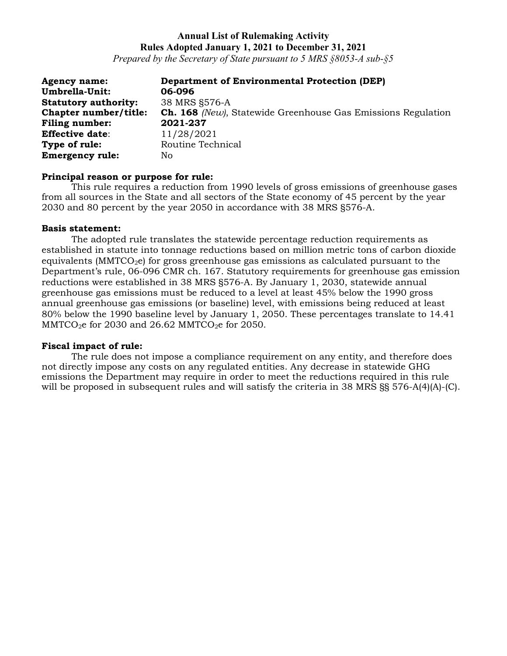*Prepared by the Secretary of State pursuant to 5 MRS §8053-A sub-§5*

| <b>Agency name:</b>         | <b>Department of Environmental Protection (DEP)</b>                 |
|-----------------------------|---------------------------------------------------------------------|
| Umbrella-Unit:              | 06-096                                                              |
| <b>Statutory authority:</b> | 38 MRS §576-A                                                       |
| Chapter number/title:       | <b>Ch. 168</b> (New), Statewide Greenhouse Gas Emissions Regulation |
| <b>Filing number:</b>       | 2021-237                                                            |
| <b>Effective date:</b>      | 11/28/2021                                                          |
| Type of rule:               | Routine Technical                                                   |
| <b>Emergency rule:</b>      | No                                                                  |

#### **Principal reason or purpose for rule:**

This rule requires a reduction from 1990 levels of gross emissions of greenhouse gases from all sources in the State and all sectors of the State economy of 45 percent by the year 2030 and 80 percent by the year 2050 in accordance with 38 MRS §576-A.

#### **Basis statement:**

The adopted rule translates the statewide percentage reduction requirements as established in statute into tonnage reductions based on million metric tons of carbon dioxide equivalents ( $MMTCO<sub>2</sub>e$ ) for gross greenhouse gas emissions as calculated pursuant to the Department's rule, 06-096 CMR ch. 167. Statutory requirements for greenhouse gas emission reductions were established in 38 MRS §576-A. By January 1, 2030, statewide annual greenhouse gas emissions must be reduced to a level at least 45% below the 1990 gross annual greenhouse gas emissions (or baseline) level, with emissions being reduced at least 80% below the 1990 baseline level by January 1, 2050. These percentages translate to 14.41 MMTCO<sub>2</sub>e for 2030 and 26.62 MMTCO<sub>2</sub>e for 2050.

## **Fiscal impact of rule:**

The rule does not impose a compliance requirement on any entity, and therefore does not directly impose any costs on any regulated entities. Any decrease in statewide GHG emissions the Department may require in order to meet the reductions required in this rule will be proposed in subsequent rules and will satisfy the criteria in 38 MRS §§ 576-A(4)(A)-(C).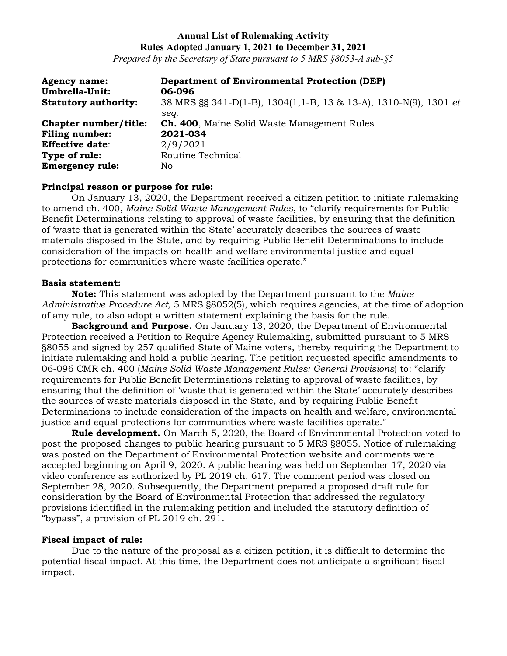*Prepared by the Secretary of State pursuant to 5 MRS §8053-A sub-§5*

| <b>Agency name:</b><br>Umbrella-Unit: | <b>Department of Environmental Protection (DEP)</b><br>06-096    |
|---------------------------------------|------------------------------------------------------------------|
| <b>Statutory authority:</b>           | 38 MRS §§ 341-D(1-B), 1304(1,1-B, 13 & 13-A), 1310-N(9), 1301 et |
|                                       | sea.                                                             |
| Chapter number/title:                 | <b>Ch. 400, Maine Solid Waste Management Rules</b>               |
| <b>Filing number:</b>                 | 2021-034                                                         |
| <b>Effective date:</b>                | 2/9/2021                                                         |
| Type of rule:                         | Routine Technical                                                |
| <b>Emergency rule:</b>                | No.                                                              |

## **Principal reason or purpose for rule:**

On January 13, 2020, the Department received a citizen petition to initiate rulemaking to amend ch. 400, *Maine Solid Waste Management Rules*, to "clarify requirements for Public Benefit Determinations relating to approval of waste facilities, by ensuring that the definition of 'waste that is generated within the State' accurately describes the sources of waste materials disposed in the State, and by requiring Public Benefit Determinations to include consideration of the impacts on health and welfare environmental justice and equal protections for communities where waste facilities operate."

#### **Basis statement:**

**Note:** This statement was adopted by the Department pursuant to the *Maine Administrative Procedure Act,* 5 MRS §8052(5), which requires agencies, at the time of adoption of any rule, to also adopt a written statement explaining the basis for the rule.

**Background and Purpose.** On January 13, 2020, the Department of Environmental Protection received a Petition to Require Agency Rulemaking, submitted pursuant to 5 MRS §8055 and signed by 257 qualified State of Maine voters, thereby requiring the Department to initiate rulemaking and hold a public hearing. The petition requested specific amendments to 06-096 CMR ch. 400 (*Maine Solid Waste Management Rules: General Provisions*) to: "clarify requirements for Public Benefit Determinations relating to approval of waste facilities, by ensuring that the definition of 'waste that is generated within the State' accurately describes the sources of waste materials disposed in the State, and by requiring Public Benefit Determinations to include consideration of the impacts on health and welfare, environmental justice and equal protections for communities where waste facilities operate."

**Rule development.** On March 5, 2020, the Board of Environmental Protection voted to post the proposed changes to public hearing pursuant to 5 MRS §8055. Notice of rulemaking was posted on the Department of Environmental Protection website and comments were accepted beginning on April 9, 2020. A public hearing was held on September 17, 2020 via video conference as authorized by PL 2019 ch. 617. The comment period was closed on September 28, 2020. Subsequently, the Department prepared a proposed draft rule for consideration by the Board of Environmental Protection that addressed the regulatory provisions identified in the rulemaking petition and included the statutory definition of "bypass", a provision of PL 2019 ch. 291.

## **Fiscal impact of rule:**

Due to the nature of the proposal as a citizen petition, it is difficult to determine the potential fiscal impact. At this time, the Department does not anticipate a significant fiscal impact.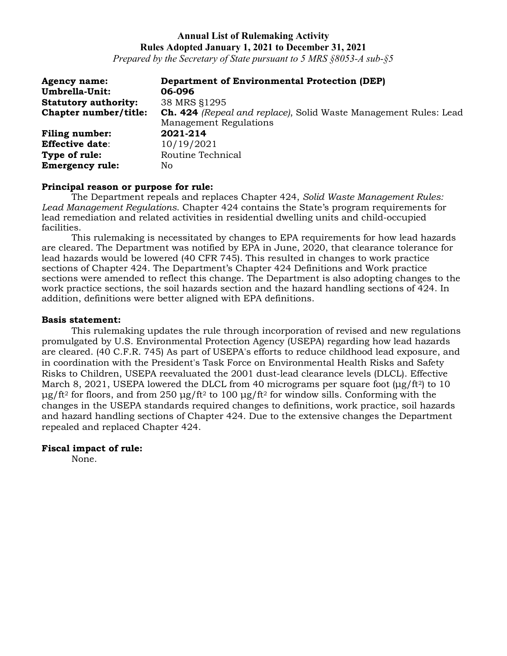*Prepared by the Secretary of State pursuant to 5 MRS §8053-A sub-§5*

| <b>Agency name:</b>         | <b>Department of Environmental Protection (DEP)</b>                     |
|-----------------------------|-------------------------------------------------------------------------|
| Umbrella-Unit:              | 06-096                                                                  |
| <b>Statutory authority:</b> | 38 MRS §1295                                                            |
| Chapter number/title:       | <b>Ch. 424</b> (Repeal and replace), Solid Waste Management Rules: Lead |
|                             | <b>Management Regulations</b>                                           |
| <b>Filing number:</b>       | 2021-214                                                                |
| <b>Effective date:</b>      | 10/19/2021                                                              |
| Type of rule:               | Routine Technical                                                       |
| <b>Emergency rule:</b>      | No                                                                      |

## **Principal reason or purpose for rule:**

The Department repeals and replaces Chapter 424, *Solid Waste Management Rules: Lead Management Regulations*. Chapter 424 contains the State's program requirements for lead remediation and related activities in residential dwelling units and child-occupied facilities.

This rulemaking is necessitated by changes to EPA requirements for how lead hazards are cleared. The Department was notified by EPA in June, 2020, that clearance tolerance for lead hazards would be lowered (40 CFR 745). This resulted in changes to work practice sections of Chapter 424. The Department's Chapter 424 Definitions and Work practice sections were amended to reflect this change. The Department is also adopting changes to the work practice sections, the soil hazards section and the hazard handling sections of 424. In addition, definitions were better aligned with EPA definitions.

## **Basis statement:**

This rulemaking updates the rule through incorporation of revised and new regulations promulgated by U.S. Environmental Protection Agency (USEPA) regarding how lead hazards are cleared. (40 C.F.R. 745) As part of USEPA's efforts to reduce childhood lead exposure, and in coordination with the President's Task Force on Environmental Health Risks and Safety Risks to Children, USEPA reevaluated the 2001 dust-lead clearance levels (DLCL). Effective March 8, 2021, USEPA lowered the DLCL from 40 micrograms per square foot (μg/ft<sup>2</sup>) to 10 μg/ft<sup>2</sup> for floors, and from 250 μg/ft<sup>2</sup> to 100 μg/ft<sup>2</sup> for window sills. Conforming with the changes in the USEPA standards required changes to definitions, work practice, soil hazards and hazard handling sections of Chapter 424. Due to the extensive changes the Department repealed and replaced Chapter 424.

## **Fiscal impact of rule:**

None.